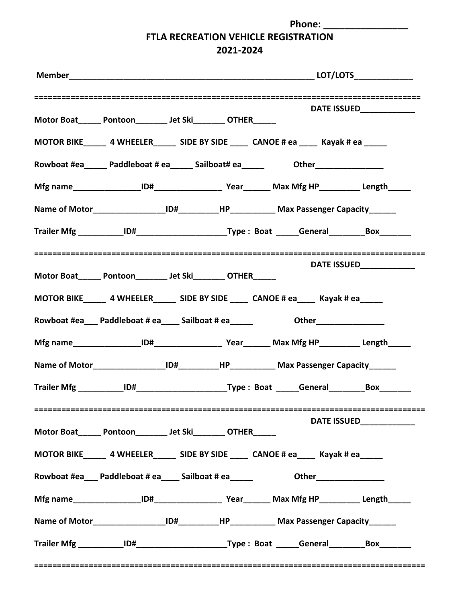**Phone: \_\_\_\_\_\_\_\_\_\_\_\_\_\_\_\_**

## **FTLA RECREATION VEHICLE REGISTRATION**

**2021-2024**

| DATE ISSUED_____________<br>Motor Boat Pontoon Jet Ski OTHER<br>Rowboat #ea______Paddleboat # ea______Sailboat# ea______________________________<br>Name of Motor_____________________ID#____________HP______________ Max Passenger Capacity_______ |
|-----------------------------------------------------------------------------------------------------------------------------------------------------------------------------------------------------------------------------------------------------|
|                                                                                                                                                                                                                                                     |
|                                                                                                                                                                                                                                                     |
|                                                                                                                                                                                                                                                     |
|                                                                                                                                                                                                                                                     |
|                                                                                                                                                                                                                                                     |
|                                                                                                                                                                                                                                                     |
|                                                                                                                                                                                                                                                     |
| DATE ISSUED____________                                                                                                                                                                                                                             |
| Motor Boat Pontoon Jet Ski OTHER                                                                                                                                                                                                                    |
| MOTOR BIKE 4 WHEELER SIDE BY SIDE 4 CANOE # ea Kayak # ea Kayak # ea Kayak # ea Kayak # ea Kayak # ea Kayak # ea Kayak # ea Kayak # ea Kayak # ea Kayak # ea Kayak # ea Kayak # ea Kayak # ea Kayak # ea Kayak # ea Kayak # ea                      |
| Rowboat #ea___ Paddleboat # ea____ Sailboat # ea_____ Other_______________                                                                                                                                                                          |
|                                                                                                                                                                                                                                                     |
| Name of Motor____________________ID#___________HP_____________ Max Passenger Capacity_______                                                                                                                                                        |
|                                                                                                                                                                                                                                                     |
| DATE ISSUED_____________<br>Motor Boat______ Pontoon__________ Jet Ski_________ OTHER______                                                                                                                                                         |
|                                                                                                                                                                                                                                                     |
| MOTOR BIKE________ 4 WHEELER________ SIDE BY SIDE ______ CANOE # ea______ Kayak # ea______                                                                                                                                                          |
| Rowboat #ea___ Paddleboat # ea____ Sailboat # ea_____ Other_______________                                                                                                                                                                          |
|                                                                                                                                                                                                                                                     |
| Name of Motor_____________________ID#____________HP_____________ Max Passenger Capacity_______                                                                                                                                                      |
|                                                                                                                                                                                                                                                     |